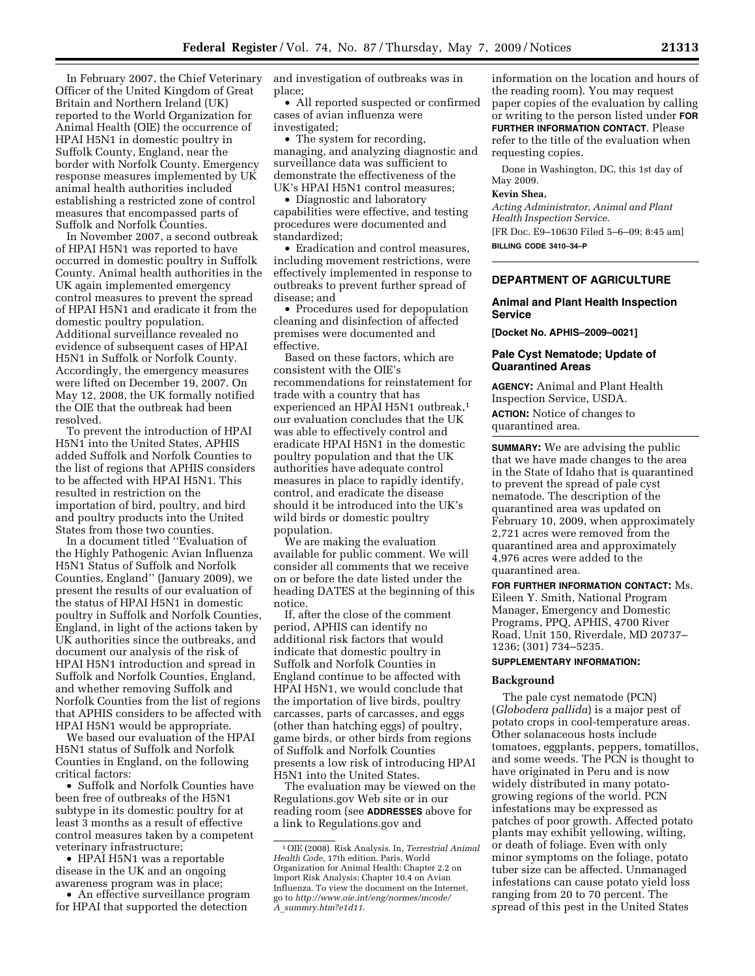In February 2007, the Chief Veterinary Officer of the United Kingdom of Great Britain and Northern Ireland (UK) reported to the World Organization for Animal Health (OIE) the occurrence of HPAI H5N1 in domestic poultry in Suffolk County, England, near the border with Norfolk County. Emergency response measures implemented by UK animal health authorities included establishing a restricted zone of control measures that encompassed parts of Suffolk and Norfolk Counties.

In November 2007, a second outbreak of HPAI H5N1 was reported to have occurred in domestic poultry in Suffolk County. Animal health authorities in the UK again implemented emergency control measures to prevent the spread of HPAI H5N1 and eradicate it from the domestic poultry population. Additional surveillance revealed no evidence of subsequent cases of HPAI H5N1 in Suffolk or Norfolk County. Accordingly, the emergency measures were lifted on December 19, 2007. On May 12, 2008, the UK formally notified the OIE that the outbreak had been resolved.

To prevent the introduction of HPAI H5N1 into the United States, APHIS added Suffolk and Norfolk Counties to the list of regions that APHIS considers to be affected with HPAI H5N1. This resulted in restriction on the importation of bird, poultry, and bird and poultry products into the United States from those two counties.

In a document titled ''Evaluation of the Highly Pathogenic Avian Influenza H5N1 Status of Suffolk and Norfolk Counties, England'' (January 2009), we present the results of our evaluation of the status of HPAI H5N1 in domestic poultry in Suffolk and Norfolk Counties, England, in light of the actions taken by UK authorities since the outbreaks, and document our analysis of the risk of HPAI H5N1 introduction and spread in Suffolk and Norfolk Counties, England, and whether removing Suffolk and Norfolk Counties from the list of regions that APHIS considers to be affected with HPAI H5N1 would be appropriate.

We based our evaluation of the HPAI H5N1 status of Suffolk and Norfolk Counties in England, on the following critical factors:

• Suffolk and Norfolk Counties have been free of outbreaks of the H5N1 subtype in its domestic poultry for at least 3 months as a result of effective control measures taken by a competent veterinary infrastructure;

• HPAI H5N1 was a reportable disease in the UK and an ongoing awareness program was in place;

• An effective surveillance program for HPAI that supported the detection

and investigation of outbreaks was in place;

• All reported suspected or confirmed cases of avian influenza were investigated;

• The system for recording, managing, and analyzing diagnostic and surveillance data was sufficient to demonstrate the effectiveness of the UK's HPAI H5N1 control measures;

• Diagnostic and laboratory capabilities were effective, and testing procedures were documented and standardized;

• Eradication and control measures, including movement restrictions, were effectively implemented in response to outbreaks to prevent further spread of disease; and

• Procedures used for depopulation cleaning and disinfection of affected premises were documented and effective.

Based on these factors, which are consistent with the OIE's recommendations for reinstatement for trade with a country that has experienced an HPAI H5N1 outbreak,<sup>1</sup> our evaluation concludes that the UK was able to effectively control and eradicate HPAI H5N1 in the domestic poultry population and that the UK authorities have adequate control measures in place to rapidly identify, control, and eradicate the disease should it be introduced into the UK's wild birds or domestic poultry population.

We are making the evaluation available for public comment. We will consider all comments that we receive on or before the date listed under the heading DATES at the beginning of this notice.

If, after the close of the comment period, APHIS can identify no additional risk factors that would indicate that domestic poultry in Suffolk and Norfolk Counties in England continue to be affected with HPAI H5N1, we would conclude that the importation of live birds, poultry carcasses, parts of carcasses, and eggs (other than hatching eggs) of poultry, game birds, or other birds from regions of Suffolk and Norfolk Counties presents a low risk of introducing HPAI H5N1 into the United States.

The evaluation may be viewed on the Regulations.gov Web site or in our reading room (see **ADDRESSES** above for a link to Regulations.gov and

information on the location and hours of the reading room). You may request paper copies of the evaluation by calling or writing to the person listed under **FOR FURTHER INFORMATION CONTACT**. Please refer to the title of the evaluation when requesting copies.

Done in Washington, DC, this 1st day of May 2009.

### **Kevin Shea,**

*Acting Administrator, Animal and Plant Health Inspection Service.*  [FR Doc. E9–10630 Filed 5–6–09; 8:45 am] **BILLING CODE 3410–34–P** 

# **DEPARTMENT OF AGRICULTURE**

## **Animal and Plant Health Inspection Service**

**[Docket No. APHIS–2009–0021]** 

# **Pale Cyst Nematode; Update of Quarantined Areas**

**AGENCY:** Animal and Plant Health Inspection Service, USDA.

**ACTION:** Notice of changes to quarantined area.

**SUMMARY:** We are advising the public that we have made changes to the area in the State of Idaho that is quarantined to prevent the spread of pale cyst nematode. The description of the quarantined area was updated on February 10, 2009, when approximately 2,721 acres were removed from the quarantined area and approximately 4,976 acres were added to the quarantined area.

**FOR FURTHER INFORMATION CONTACT:** Ms. Eileen Y. Smith, National Program Manager, Emergency and Domestic Programs, PPQ, APHIS, 4700 River Road, Unit 150, Riverdale, MD 20737– 1236; (301) 734–5235.

# **SUPPLEMENTARY INFORMATION:**

#### **Background**

The pale cyst nematode (PCN) (*Globodera pallida*) is a major pest of potato crops in cool-temperature areas. Other solanaceous hosts include tomatoes, eggplants, peppers, tomatillos, and some weeds. The PCN is thought to have originated in Peru and is now widely distributed in many potatogrowing regions of the world. PCN infestations may be expressed as patches of poor growth. Affected potato plants may exhibit yellowing, wilting, or death of foliage. Even with only minor symptoms on the foliage, potato tuber size can be affected. Unmanaged infestations can cause potato yield loss ranging from 20 to 70 percent. The spread of this pest in the United States

<sup>1</sup>OIE (2008). Risk Analysis. In, *Terrestrial Animal Health Code,* 17th edition. Paris, World Organization for Animal Health: Chapter 2.2 on Import Risk Analysis; Chapter 10.4 on Avian Influenza. To view the document on the Internet, go to *http://www.oie.int/eng/normes/mcode/ A*\_*summry.htm?e1d11*.